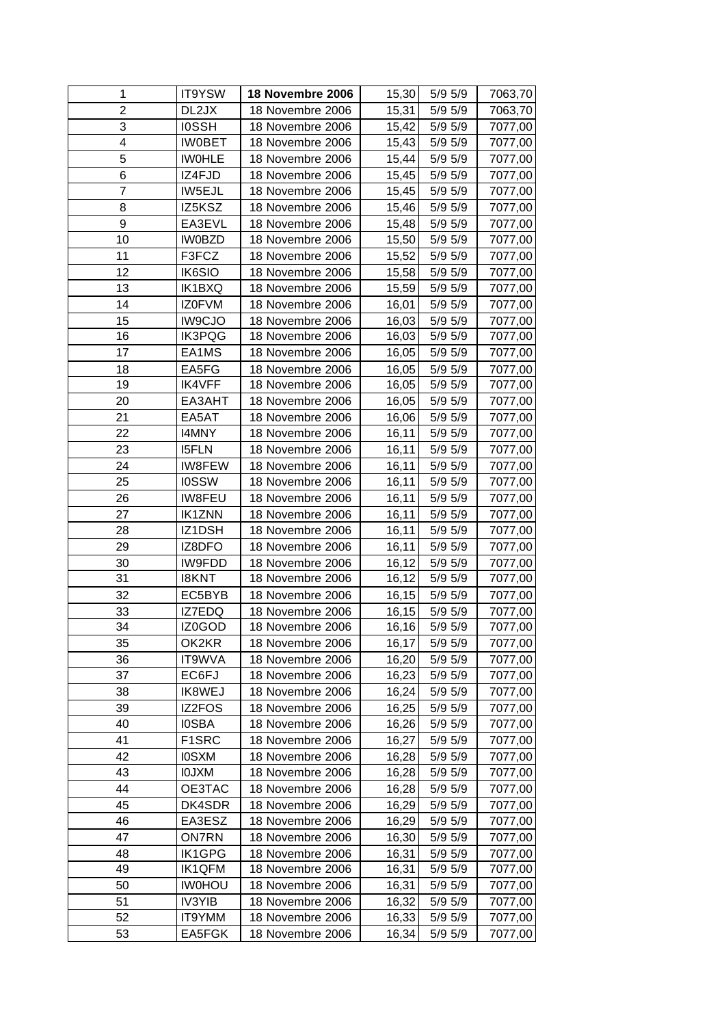| 1              | IT9YSW        | 18 Novembre 2006 | 15,30  | $5/9$ $5/9$ | 7063,70 |
|----------------|---------------|------------------|--------|-------------|---------|
| $\overline{2}$ | DL2JX         | 18 Novembre 2006 | 15,31  | 5/9 5/9     | 7063,70 |
| 3              | <b>IOSSH</b>  | 18 Novembre 2006 | 15,42  | 5/9 5/9     | 7077,00 |
| 4              | <b>IWOBET</b> | 18 Novembre 2006 | 15,43  | 5/9 5/9     | 7077,00 |
| 5              | <b>IWOHLE</b> | 18 Novembre 2006 | 15,44  | 5/9 5/9     | 7077,00 |
| 6              | IZ4FJD        | 18 Novembre 2006 | 15,45  | 5/9 5/9     | 7077,00 |
| $\overline{7}$ | IW5EJL        | 18 Novembre 2006 | 15,45  | 5/9 5/9     | 7077,00 |
| 8              | IZ5KSZ        | 18 Novembre 2006 | 15,46  | 5/9 5/9     | 7077,00 |
| 9              | EA3EVL        | 18 Novembre 2006 | 15,48  | 5/9 5/9     | 7077,00 |
| 10             | <b>IW0BZD</b> | 18 Novembre 2006 | 15,50  | 5/9 5/9     | 7077,00 |
| 11             | F3FCZ         | 18 Novembre 2006 | 15,52  | 5/9 5/9     | 7077,00 |
| 12             | IK6SIO        | 18 Novembre 2006 | 15,58  | 5/9 5/9     | 7077,00 |
| 13             | IK1BXQ        | 18 Novembre 2006 | 15,59  | 5/9 5/9     | 7077,00 |
| 14             | IZ0FVM        | 18 Novembre 2006 | 16,01  | 5/9 5/9     | 7077,00 |
| 15             | <b>IW9CJO</b> | 18 Novembre 2006 | 16,03  | 5/9 5/9     | 7077,00 |
| 16             | IK3PQG        | 18 Novembre 2006 | 16,03  | 5/9 5/9     | 7077,00 |
| 17             | EA1MS         | 18 Novembre 2006 | 16,05  | 5/9 5/9     | 7077,00 |
| 18             | EA5FG         | 18 Novembre 2006 | 16,05  | 5/9 5/9     | 7077,00 |
| 19             | <b>IK4VFF</b> | 18 Novembre 2006 | 16,05  | 5/9 5/9     | 7077,00 |
| 20             | EA3AHT        | 18 Novembre 2006 | 16,05  | 5/9 5/9     | 7077,00 |
| 21             | EA5AT         | 18 Novembre 2006 | 16,06  | 5/9 5/9     | 7077,00 |
| 22             | I4MNY         | 18 Novembre 2006 | 16,11  | 5/9 5/9     | 7077,00 |
| 23             | <b>I5FLN</b>  | 18 Novembre 2006 | 16,11  | 5/9 5/9     | 7077,00 |
| 24             | IW8FEW        | 18 Novembre 2006 | 16,11  | 5/9 5/9     | 7077,00 |
| 25             | <b>IOSSW</b>  | 18 Novembre 2006 | 16,11  | 5/9 5/9     | 7077,00 |
| 26             | <b>IW8FEU</b> | 18 Novembre 2006 | 16,11  | 5/9 5/9     | 7077,00 |
| 27             | <b>IK1ZNN</b> | 18 Novembre 2006 | 16,11  | 5/9 5/9     | 7077,00 |
| 28             | IZ1DSH        | 18 Novembre 2006 | 16,11  | 5/9 5/9     | 7077,00 |
| 29             | IZ8DFO        | 18 Novembre 2006 | 16,11  | 5/9 5/9     | 7077,00 |
| 30             | IW9FDD        | 18 Novembre 2006 | 16,12  | 5/9 5/9     | 7077,00 |
| 31             | <b>I8KNT</b>  | 18 Novembre 2006 | 16,12  | 5/9 5/9     | 7077,00 |
| 32             | EC5BYB        | 18 Novembre 2006 | 16,15  | 5/9 5/9     | 7077,00 |
| 33             | IZ7EDQ        | 18 Novembre 2006 | 16,15  | 5/9 5/9     | 7077,00 |
| 34             | IZ0GOD        | 18 Novembre 2006 | 16, 16 | 5/9 5/9     | 7077,00 |
| 35             | OK2KR         | 18 Novembre 2006 | 16,17  | 5/9 5/9     | 7077,00 |
| 36             | IT9WVA        | 18 Novembre 2006 | 16,20  | 5/9 5/9     | 7077,00 |
| 37             | EC6FJ         | 18 Novembre 2006 | 16,23  | 5/9 5/9     | 7077,00 |
| 38             | IK8WEJ        | 18 Novembre 2006 | 16,24  | 5/9 5/9     | 7077,00 |
| 39             | IZ2FOS        | 18 Novembre 2006 | 16,25  | 5/9 5/9     | 7077,00 |
| 40             | <b>IOSBA</b>  | 18 Novembre 2006 | 16,26  | 5/9 5/9     | 7077,00 |
| 41             | F1SRC         | 18 Novembre 2006 | 16,27  | 5/9 5/9     | 7077,00 |
| 42             | <b>IOSXM</b>  | 18 Novembre 2006 | 16,28  | 5/9 5/9     | 7077,00 |
| 43             | <b>IOJXM</b>  | 18 Novembre 2006 | 16,28  | 5/9 5/9     | 7077,00 |
| 44             | OE3TAC        | 18 Novembre 2006 | 16,28  | 5/9 5/9     | 7077,00 |
| 45             | DK4SDR        | 18 Novembre 2006 | 16,29  | 5/9 5/9     | 7077,00 |
| 46             | EA3ESZ        | 18 Novembre 2006 | 16,29  | 5/9 5/9     | 7077,00 |
| 47             | <b>ON7RN</b>  | 18 Novembre 2006 | 16,30  | 5/9 5/9     | 7077,00 |
| 48             | IK1GPG        | 18 Novembre 2006 | 16,31  | 5/9 5/9     | 7077,00 |
| 49             | <b>IK1QFM</b> | 18 Novembre 2006 | 16,31  | 5/9 5/9     | 7077,00 |
| 50             | <b>IWOHOU</b> | 18 Novembre 2006 | 16,31  | 5/9 5/9     | 7077,00 |
| 51             | <b>IV3YIB</b> | 18 Novembre 2006 | 16,32  | 5/9 5/9     | 7077,00 |
| 52             | IT9YMM        | 18 Novembre 2006 | 16,33  | 5/9 5/9     | 7077,00 |
| 53             | EA5FGK        | 18 Novembre 2006 | 16,34  | 5/9 5/9     | 7077,00 |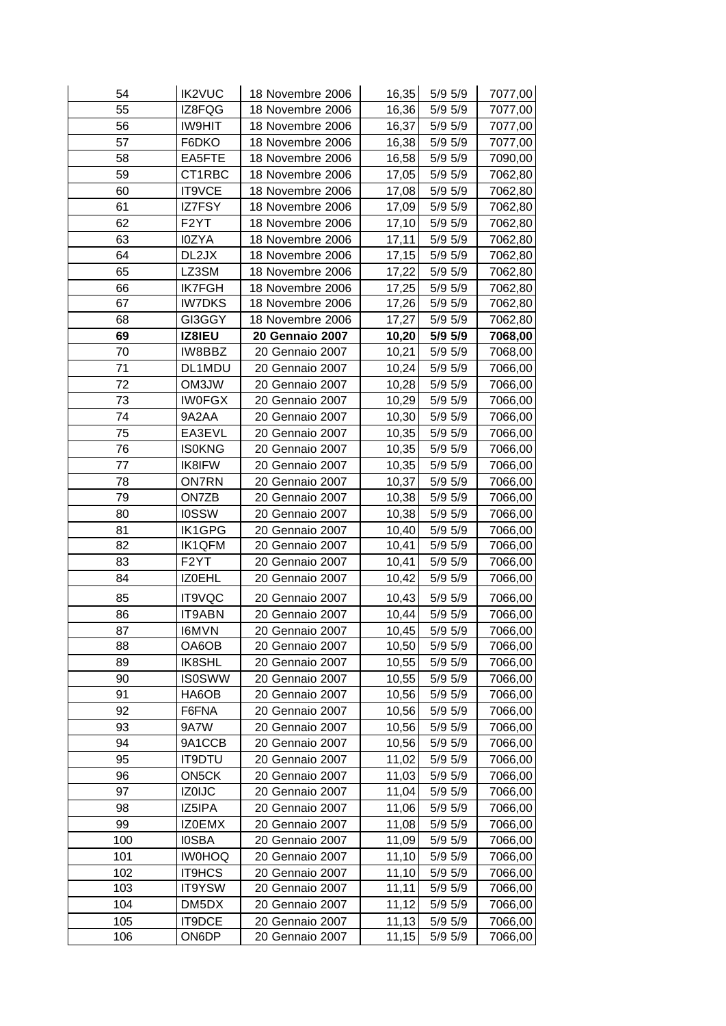| 54  | <b>IK2VUC</b>     | 18 Novembre 2006       | 16,35 | $5/9$ $5/9$        | 7077,00 |
|-----|-------------------|------------------------|-------|--------------------|---------|
| 55  | IZ8FQG            | 18 Novembre 2006       | 16,36 | 5/9 5/9            | 7077,00 |
| 56  | <b>IW9HIT</b>     | 18 Novembre 2006       | 16,37 | 5/9 5/9            | 7077,00 |
| 57  | F6DKO             | 18 Novembre 2006       | 16,38 | 5/9 5/9            | 7077,00 |
| 58  | EA5FTE            | 18 Novembre 2006       | 16,58 | 5/9 5/9            | 7090,00 |
| 59  | CT1RBC            | 18 Novembre 2006       | 17,05 | 5/9 5/9            | 7062,80 |
| 60  | IT9VCE            | 18 Novembre 2006       | 17,08 | 5/9 5/9            | 7062,80 |
| 61  | IZ7FSY            | 18 Novembre 2006       | 17,09 | 5/9 5/9            | 7062,80 |
| 62  | F <sub>2</sub> YT | 18 Novembre 2006       | 17,10 | 5/9 5/9            | 7062,80 |
| 63  | I0ZYA             | 18 Novembre 2006       | 17,11 | 5/9 5/9            | 7062,80 |
| 64  | DL2JX             | 18 Novembre 2006       | 17,15 | 5/9 5/9            | 7062,80 |
| 65  | LZ3SM             | 18 Novembre 2006       | 17,22 | 5/9 5/9            | 7062,80 |
| 66  | <b>IK7FGH</b>     | 18 Novembre 2006       | 17,25 | 5/9 5/9            | 7062,80 |
| 67  | <b>IW7DKS</b>     | 18 Novembre 2006       | 17,26 | 5/9 5/9            | 7062,80 |
| 68  | GI3GGY            | 18 Novembre 2006       | 17,27 | 5/9 5/9            | 7062,80 |
| 69  | IZ8IEU            | <b>20 Gennaio 2007</b> | 10,20 | 5/9 5/9            | 7068,00 |
| 70  | IW8BBZ            | 20 Gennaio 2007        | 10,21 | 5/9 5/9            | 7068,00 |
| 71  | DL1MDU            | 20 Gennaio 2007        | 10,24 | 5/9 5/9            | 7066,00 |
| 72  | OM3JW             | 20 Gennaio 2007        | 10,28 | 5/9 5/9            | 7066,00 |
| 73  | <b>IWOFGX</b>     | 20 Gennaio 2007        | 10,29 | 5/9 5/9            | 7066,00 |
| 74  | 9A2AA             | 20 Gennaio 2007        | 10,30 | 5/9 5/9            | 7066,00 |
| 75  | EA3EVL            | 20 Gennaio 2007        | 10,35 | $5/9$ $5/9$        | 7066,00 |
| 76  | <b>IS0KNG</b>     | 20 Gennaio 2007        | 10,35 | 5/9 5/9            | 7066,00 |
| 77  | IK8IFW            | 20 Gennaio 2007        | 10,35 | 5/9 5/9            | 7066,00 |
| 78  | <b>ON7RN</b>      | 20 Gennaio 2007        | 10,37 | 5/9 5/9            | 7066,00 |
| 79  | ON7ZB             | 20 Gennaio 2007        | 10,38 | 5/9 5/9            | 7066,00 |
| 80  | <b>IOSSW</b>      | 20 Gennaio 2007        | 10,38 | 5/9 5/9            | 7066,00 |
| 81  | <b>IK1GPG</b>     | 20 Gennaio 2007        | 10,40 | 5/9 5/9            | 7066,00 |
| 82  | <b>IK1QFM</b>     | 20 Gennaio 2007        | 10,41 | 5/9 5/9            | 7066,00 |
| 83  | F <sub>2</sub> YT | 20 Gennaio 2007        | 10,41 | 5/9 5/9            | 7066,00 |
| 84  | IZ0EHL            | 20 Gennaio 2007        | 10,42 | 5/9 5/9            | 7066,00 |
| 85  | IT9VQC            | 20 Gennaio 2007        | 10,43 | $5/9$ $5/9$        | 7066,00 |
| 86  | <b>IT9ABN</b>     | 20 Gennaio 2007        | 10,44 | 5/9 5/9            | 7066,00 |
| 87  | <b>I6MVN</b>      | 20 Gennaio 2007        | 10,45 | 5/9 5/9            | 7066,00 |
| 88  | OA6OB             | 20 Gennaio 2007        | 10,50 | 5/9 5/9            | 7066,00 |
| 89  | IK8SHL            | 20 Gennaio 2007        | 10,55 | 5/9 5/9            | 7066,00 |
| 90  | <b>IS0SWW</b>     | 20 Gennaio 2007        | 10,55 | 5/9 5/9            | 7066,00 |
| 91  | HA6OB             | 20 Gennaio 2007        | 10,56 | 5/9 5/9            | 7066,00 |
| 92  | F6FNA             | 20 Gennaio 2007        | 10,56 | 5/9 5/9            |         |
| 93  | 9A7W              | 20 Gennaio 2007        |       |                    | 7066,00 |
| 94  | 9A1CCB            | 20 Gennaio 2007        | 10,56 | 5/9 5/9<br>5/9 5/9 | 7066,00 |
|     |                   |                        | 10,56 |                    | 7066,00 |
| 95  | <b>IT9DTU</b>     | 20 Gennaio 2007        | 11,02 | 5/9 5/9            | 7066,00 |
| 96  | ON5CK             | 20 Gennaio 2007        | 11,03 | 5/9 5/9            | 7066,00 |
| 97  | <b>IZ0IJC</b>     | 20 Gennaio 2007        | 11,04 | 5/9 5/9            | 7066,00 |
| 98  | IZ5IPA            | 20 Gennaio 2007        | 11,06 | 5/9 5/9            | 7066,00 |
| 99  | IZ0EMX            | 20 Gennaio 2007        | 11,08 | 5/9 5/9            | 7066,00 |
| 100 | <b>IOSBA</b>      | 20 Gennaio 2007        | 11,09 | 5/9 5/9            | 7066,00 |
| 101 | <b>IW0HOQ</b>     | 20 Gennaio 2007        | 11,10 | 5/9 5/9            | 7066,00 |
| 102 | IT9HCS            | 20 Gennaio 2007        | 11,10 | 5/9 5/9            | 7066,00 |
| 103 | IT9YSW            | 20 Gennaio 2007        | 11,11 | 5/9 5/9            | 7066,00 |
| 104 | DM5DX             | 20 Gennaio 2007        | 11,12 | 5/9 5/9            | 7066,00 |
| 105 | IT9DCE            | 20 Gennaio 2007        | 11,13 | 5/9 5/9            | 7066,00 |
| 106 | ON6DP             | 20 Gennaio 2007        | 11,15 | 5/9 5/9            | 7066,00 |